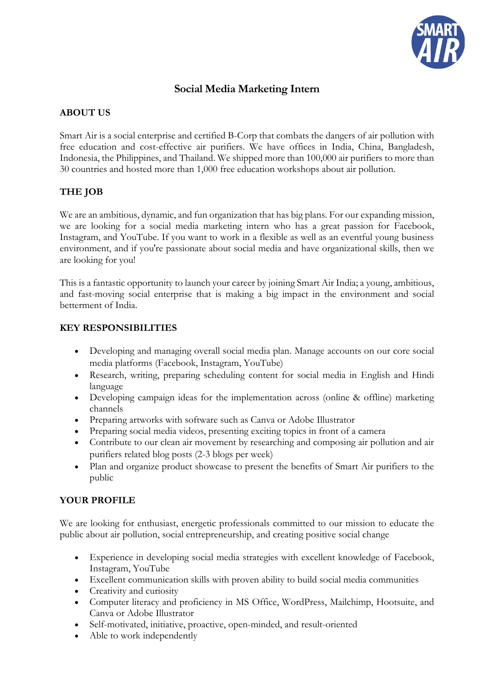

# **Social Media Marketing Intern**

## **ABOUT US**

Smart Air is a social enterprise and certified B-Corp that combats the dangers of air pollution with free education and cost-effective air purifiers. We have offices in India, China, Bangladesh, Indonesia, the Philippines, and Thailand. We shipped more than 100,000 air purifiers to more than 30 countries and hosted more than 1,000 free education workshops about air pollution.

# **THE JOB**

We are an ambitious, dynamic, and fun organization that has big plans. For our expanding mission, we are looking for a social media marketing intern who has a great passion for Facebook, Instagram, and YouTube. If you want to work in a flexible as well as an eventful young business environment, and if you're passionate about social media and have organizational skills, then we are looking for you!

This is a fantastic opportunity to launch your career by joining Smart Air India; a young, ambitious, and fast-moving social enterprise that is making a big impact in the environment and social betterment of India.

#### **KEY RESPONSIBILITIES**

- Developing and managing overall social media plan. Manage accounts on our core social media platforms (Facebook, Instagram, YouTube)
- Research, writing, preparing scheduling content for social media in English and Hindi language
- Developing campaign ideas for the implementation across (online & offline) marketing channels
- Preparing artworks with software such as Canva or Adobe Illustrator
- Preparing social media videos, presenting exciting topics in front of a camera
- Contribute to our clean air movement by researching and composing air pollution and air purifiers related blog posts (2-3 blogs per week)
- Plan and organize product showcase to present the benefits of Smart Air purifiers to the public

#### **YOUR PROFILE**

We are looking for enthusiast, energetic professionals committed to our mission to educate the public about air pollution, social entrepreneurship, and creating positive social change

- Experience in developing social media strategies with excellent knowledge of Facebook, Instagram, YouTube
- Excellent communication skills with proven ability to build social media communities
- Creativity and curiosity
- Computer literacy and proficiency in MS Office, WordPress, Mailchimp, Hootsuite, and Canva or Adobe Illustrator
- Self-motivated, initiative, proactive, open-minded, and result-oriented
- Able to work independently